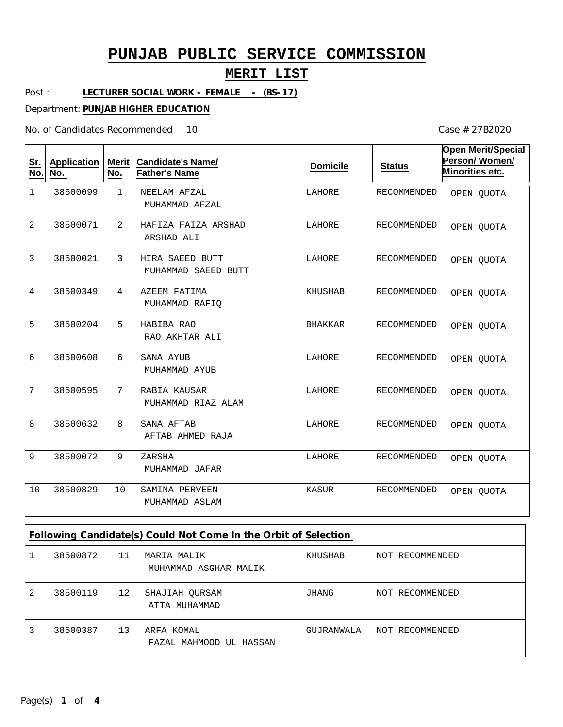### **MERIT LIST**

Post : **LECTURER SOCIAL WORK - FEMALE - (BS-17)**

Department: **PUNJAB HIGHER EDUCATION**

No. of Candidates Recommended

10 Case # 27B2020

| <u>Sr.</u><br>No. | <b>Application</b><br>No. | <b>Merit</b><br>No. | <b>Candidate's Name/</b><br><b>Father's Name</b>                | <b>Domicile</b> | <b>Status</b>      | <b>Open Merit/Special</b><br>Person/Women/<br>Minorities etc. |
|-------------------|---------------------------|---------------------|-----------------------------------------------------------------|-----------------|--------------------|---------------------------------------------------------------|
| $\mathbf 1$       | 38500099                  | $\mathbf{1}$        | NEELAM AFZAL<br>MUHAMMAD AFZAL                                  | LAHORE          | RECOMMENDED        | OPEN QUOTA                                                    |
| $\overline{2}$    | 38500071                  | 2                   | HAFIZA FAIZA ARSHAD<br>ARSHAD ALI                               | LAHORE          | RECOMMENDED        | OPEN OUOTA                                                    |
| 3                 | 38500021                  | 3                   | HIRA SAEED BUTT<br>MUHAMMAD SAEED BUTT                          | LAHORE          | <b>RECOMMENDED</b> | OPEN QUOTA                                                    |
| 4                 | 38500349                  | 4                   | AZEEM FATIMA<br>MUHAMMAD RAFIQ                                  | KHUSHAB         | RECOMMENDED        | OPEN QUOTA                                                    |
| 5                 | 38500204                  | 5                   | HABIBA RAO<br>RAO AKHTAR ALI                                    | <b>BHAKKAR</b>  | RECOMMENDED        | OPEN QUOTA                                                    |
| 6                 | 38500608                  | 6                   | SANA AYUB<br>MUHAMMAD AYUB                                      | LAHORE          | RECOMMENDED        | OPEN QUOTA                                                    |
| 7                 | 38500595                  | 7                   | RABIA KAUSAR<br>MUHAMMAD RIAZ ALAM                              | LAHORE          | RECOMMENDED        | OPEN QUOTA                                                    |
| 8                 | 38500632                  | 8                   | SANA AFTAB<br>AFTAB AHMED RAJA                                  | LAHORE          | RECOMMENDED        | OPEN QUOTA                                                    |
| 9                 | 38500072                  | 9                   | ZARSHA<br>MUHAMMAD JAFAR                                        | LAHORE          | RECOMMENDED        | OPEN QUOTA                                                    |
| 10                | 38500829                  | 10                  | SAMINA PERVEEN<br>MUHAMMAD ASLAM                                | KASUR           | RECOMMENDED        | OPEN QUOTA                                                    |
|                   |                           |                     | Following Candidate(s) Could Not Come In the Orbit of Selection |                 |                    |                                                               |
| $\mathbf{1}$      | 38500872                  | 11                  | MARIA MALIK<br>MUHAMMAD ASGHAR MALIK                            | <b>KHUSHAB</b>  | NOT RECOMMENDED    |                                                               |

| 2 | 38500119 | 12 | SHAJIAH QURSAM<br>ATTA MUHAMMAD       | JHANG      | NOT RECOMMENDED |
|---|----------|----|---------------------------------------|------------|-----------------|
| 3 | 38500387 | 13 | ARFA KOMAL<br>FAZAL MAHMOOD UL HASSAN | GUJRANWALA | NOT RECOMMENDED |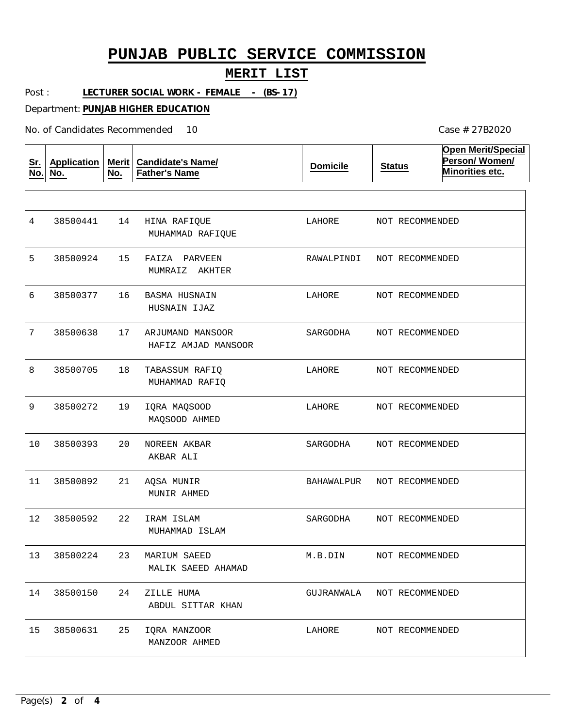### **MERIT LIST**

Post : **LECTURER SOCIAL WORK - FEMALE - (BS-17)**

Department: **PUNJAB HIGHER EDUCATION**

No. of Candidates Recommended

| <u>Sr.</u><br>No. | <b>Application</b><br>No. | <b>Merit</b><br>No. | <b>Candidate's Name/</b><br><b>Father's Name</b> | <b>Domicile</b> | <b>Status</b>   | <b>Open Merit/Special</b><br>Person/Women/<br>Minorities etc. |
|-------------------|---------------------------|---------------------|--------------------------------------------------|-----------------|-----------------|---------------------------------------------------------------|
|                   |                           |                     |                                                  |                 |                 |                                                               |
| 4                 | 38500441                  | 14                  | HINA RAFIQUE<br>MUHAMMAD RAFIQUE                 | LAHORE          | NOT RECOMMENDED |                                                               |
| 5                 | 38500924                  | 15                  | FAIZA<br>PARVEEN<br>MUMRAIZ AKHTER               | RAWALPINDI      | NOT RECOMMENDED |                                                               |
| 6                 | 38500377                  | 16                  | BASMA HUSNAIN<br>HUSNAIN IJAZ                    | LAHORE          | NOT RECOMMENDED |                                                               |
| 7                 | 38500638                  | 17                  | ARJUMAND MANSOOR<br>HAFIZ AMJAD MANSOOR          | SARGODHA        | NOT RECOMMENDED |                                                               |
| 8                 | 38500705                  | 18                  | TABASSUM RAFIQ<br>MUHAMMAD RAFIQ                 | LAHORE          | NOT RECOMMENDED |                                                               |
| 9                 | 38500272                  | 19                  | IQRA MAQSOOD<br>MAQSOOD AHMED                    | LAHORE          | NOT RECOMMENDED |                                                               |
| 10                | 38500393                  | 20                  | NOREEN AKBAR<br>AKBAR ALI                        | SARGODHA        | NOT RECOMMENDED |                                                               |
| 11                | 38500892                  | 21                  | AQSA MUNIR<br>MUNIR AHMED                        | BAHAWALPUR      | NOT RECOMMENDED |                                                               |
| 12                | 38500592                  | 22                  | IRAM ISLAM<br>MUHAMMAD ISLAM                     | SARGODHA        | NOT RECOMMENDED |                                                               |
| 13                | 38500224                  | 23                  | MARIUM SAEED<br>MALIK SAEED AHAMAD               | M.B.DIN         | NOT RECOMMENDED |                                                               |
| 14                | 38500150                  | 24                  | ZILLE HUMA<br>ABDUL SITTAR KHAN                  | GUJRANWALA      | NOT RECOMMENDED |                                                               |
| 15                | 38500631                  | 25                  | IQRA MANZOOR<br>MANZOOR AHMED                    | LAHORE          | NOT RECOMMENDED |                                                               |

10 Case # 27B2020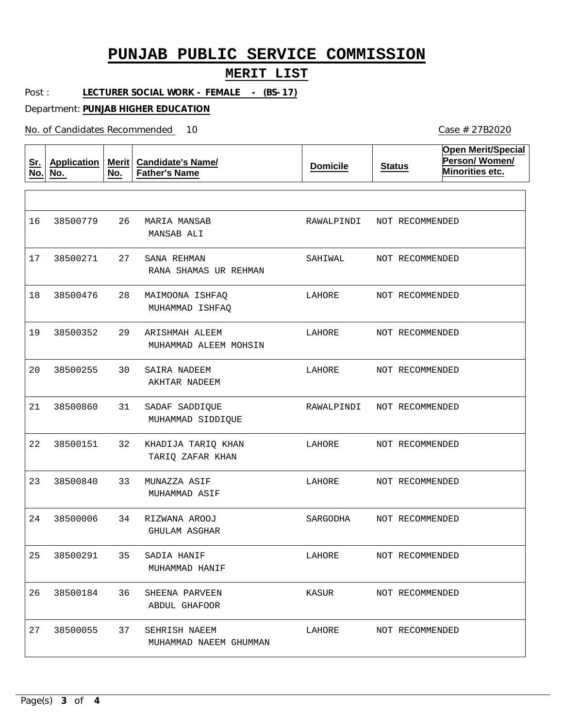### **MERIT LIST**

Post : **LECTURER SOCIAL WORK - FEMALE - (BS-17)**

Department: **PUNJAB HIGHER EDUCATION**

No. of Candidates Recommended

| <u>Sr.</u><br>No. | <b>Application</b><br>No. | Merit $ $<br>No. | <b>Candidate's Name/</b><br><b>Father's Name</b> | <b>Domicile</b> | <b>Status</b>   | <b>Open Merit/Special</b><br>Person/Women/<br>Minorities etc. |
|-------------------|---------------------------|------------------|--------------------------------------------------|-----------------|-----------------|---------------------------------------------------------------|
|                   |                           |                  |                                                  |                 |                 |                                                               |
| 16                | 38500779                  | 26               | MARIA MANSAB<br>MANSAB ALI                       | RAWALPINDI      | NOT RECOMMENDED |                                                               |
| 17                | 38500271                  | 27               | SANA REHMAN<br>RANA SHAMAS UR REHMAN             | SAHIWAL         | NOT RECOMMENDED |                                                               |
| 18                | 38500476                  | 28               | MAIMOONA ISHFAQ<br>MUHAMMAD ISHFAQ               | LAHORE          | NOT RECOMMENDED |                                                               |
| 19                | 38500352                  | 29               | ARISHMAH ALEEM<br>MUHAMMAD ALEEM MOHSIN          | LAHORE          | NOT RECOMMENDED |                                                               |
| 20                | 38500255                  | 30               | SAIRA NADEEM<br>AKHTAR NADEEM                    | LAHORE          | NOT RECOMMENDED |                                                               |
| 21                | 38500860                  | 31               | SADAF SADDIQUE<br>MUHAMMAD SIDDIQUE              | RAWALPINDI      | NOT RECOMMENDED |                                                               |
| 22                | 38500151                  | 32               | KHADIJA TARIQ KHAN<br>TARIQ ZAFAR KHAN           | LAHORE          | NOT RECOMMENDED |                                                               |
| 23                | 38500840                  | 33               | MUNAZZA ASIF<br>MUHAMMAD ASIF                    | LAHORE          | NOT RECOMMENDED |                                                               |
| 24                | 38500006                  | 34               | RIZWANA AROOJ<br>GHULAM ASGHAR                   | SARGODHA        | NOT RECOMMENDED |                                                               |
| 25                | 38500291                  | 35               | SADIA HANIF<br>MUHAMMAD HANIF                    | LAHORE          | NOT RECOMMENDED |                                                               |
| 26                | 38500184                  | 36               | SHEENA PARVEEN<br>ABDUL GHAFOOR                  | KASUR           | NOT RECOMMENDED |                                                               |
| 27                | 38500055                  | 37               | SEHRISH NAEEM<br>MUHAMMAD NAEEM GHUMMAN          | LAHORE          | NOT RECOMMENDED |                                                               |